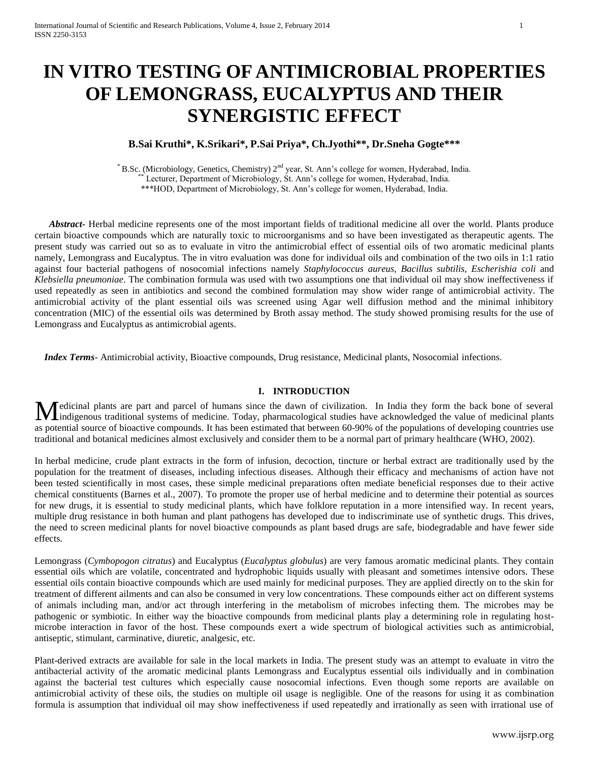# **IN VITRO TESTING OF ANTIMICROBIAL PROPERTIES OF LEMONGRASS, EUCALYPTUS AND THEIR SYNERGISTIC EFFECT**

## **B.Sai Kruthi\*, K.Srikari\*, P.Sai Priya\*, Ch.Jyothi\*\*, Dr.Sneha Gogte\*\*\***

\* B.Sc. (Microbiology, Genetics, Chemistry) 2nd year, St. Ann's college for women, Hyderabad, India. Lecturer, Department of Microbiology, St. Ann's college for women, Hyderabad, India. \*\*\*HOD, Department of Microbiology, St. Ann's college for women, Hyderabad, India.

 *Abstract***-** Herbal medicine represents one of the most important fields of traditional medicine all over the world. Plants produce certain bioactive compounds which are naturally toxic to microorganisms and so have been investigated as therapeutic agents. The present study was carried out so as to evaluate in vitro the antimicrobial effect of essential oils of two aromatic medicinal plants namely, Lemongrass and Eucalyptus. The in vitro evaluation was done for individual oils and combination of the two oils in 1:1 ratio against four bacterial pathogens of nosocomial infections namely *Staphylococcus aureus, Bacillus subtilis, Escherishia coli* and *Klebsiella pneumoniae*. The combination formula was used with two assumptions one that individual oil may show ineffectiveness if used repeatedly as seen in antibiotics and second the combined formulation may show wider range of antimicrobial activity. The antimicrobial activity of the plant essential oils was screened using Agar well diffusion method and the minimal inhibitory concentration (MIC) of the essential oils was determined by Broth assay method. The study showed promising results for the use of Lemongrass and Eucalyptus as antimicrobial agents.

 *Index Terms*- Antimicrobial activity, Bioactive compounds, Drug resistance, Medicinal plants, Nosocomial infections.

#### **I. INTRODUCTION**

edicinal plants are part and parcel of humans since the dawn of civilization. In India they form the back bone of several Medicinal plants are part and parcel of humans since the dawn of civilization. In India they form the back bone of several indiagenous traditional systems of medicine. Today, pharmacological studies have acknowledged the v as potential source of bioactive compounds. It has been estimated that between 60-90% of the populations of developing countries use traditional and botanical medicines almost exclusively and consider them to be a normal part of primary healthcare (WHO, 2002).

In herbal medicine, crude plant extracts in the form of infusion, decoction, tincture or herbal extract are traditionally used by the population for the treatment of diseases, including infectious diseases. Although their efficacy and mechanisms of action have not been tested scientifically in most cases, these simple medicinal preparations often mediate beneficial responses due to their active chemical constituents (Barnes et al., 2007). To promote the proper use of herbal medicine and to determine their potential as sources for new drugs, it is essential to study medicinal plants, which have folklore reputation in a more intensified way. In recent years, multiple drug resistance in both human and plant pathogens has developed due to indiscriminate use of synthetic drugs. This drives, the need to screen medicinal plants for novel bioactive compounds as plant based drugs are safe, biodegradable and have fewer side effects.

Lemongrass (*Cymbopogon citratus*) and Eucalyptus (*Eucalyptus globulus*) are very famous aromatic medicinal plants. They contain essential oils which are volatile, concentrated and hydrophobic liquids usually with pleasant and sometimes intensive odors. These essential oils contain bioactive compounds which are used mainly for medicinal purposes. They are applied directly on to the skin for treatment of different ailments and can also be consumed in very low concentrations. These compounds either act on different systems of animals including man, and/or act through interfering in the metabolism of microbes infecting them. The microbes may be pathogenic or symbiotic. In either way the bioactive compounds from medicinal plants play a determining role in regulating hostmicrobe interaction in favor of the host. These compounds exert a wide spectrum of biological activities such as antimicrobial, antiseptic, stimulant, carminative, diuretic, analgesic, etc.

Plant-derived extracts are available for sale in the local markets in India. The present study was an attempt to evaluate in vitro the antibacterial activity of the aromatic medicinal plants Lemongrass and Eucalyptus essential oils individually and in combination against the bacterial test cultures which especially cause nosocomial infections. Even though some reports are available on antimicrobial activity of these oils, the studies on multiple oil usage is negligible. One of the reasons for using it as combination formula is assumption that individual oil may show ineffectiveness if used repeatedly and irrationally as seen with irrational use of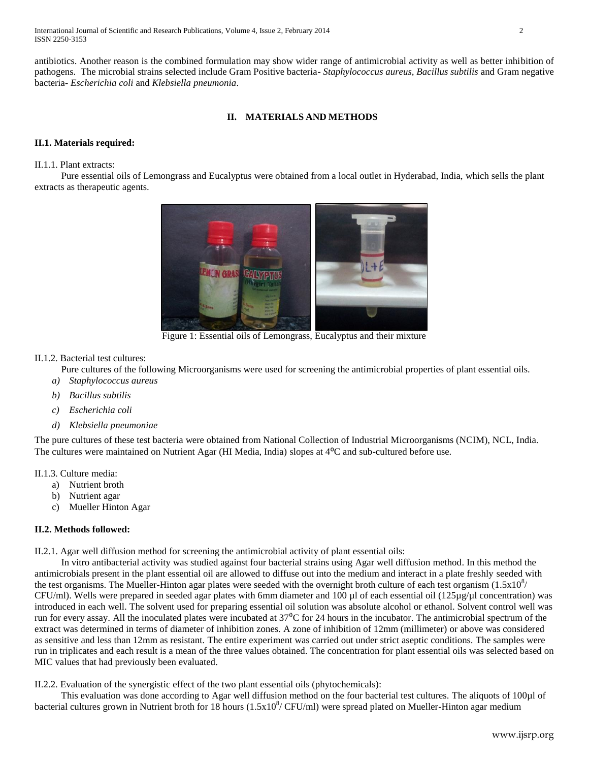International Journal of Scientific and Research Publications, Volume 4, Issue 2, February 2014 2 ISSN 2250-3153

antibiotics. Another reason is the combined formulation may show wider range of antimicrobial activity as well as better inhibition of pathogens. The microbial strains selected include Gram Positive bacteria- *Staphylococcus aureus, Bacillus subtilis* and Gram negative bacteria- *Escherichia coli* and *Klebsiella pneumonia*.

## **II. MATERIALS AND METHODS**

## **II.1. Materials required:**

#### II.1.1. Plant extracts:

 Pure essential oils of Lemongrass and Eucalyptus were obtained from a local outlet in Hyderabad, India, which sells the plant extracts as therapeutic agents.



Figure 1: Essential oils of Lemongrass, Eucalyptus and their mixture

#### II.1.2. Bacterial test cultures:

Pure cultures of the following Microorganisms were used for screening the antimicrobial properties of plant essential oils.

- *a) Staphylococcus aureus*
- *b) Bacillus subtilis*
- *c) Escherichia coli*
- *d) Klebsiella pneumoniae*

The pure cultures of these test bacteria were obtained from National Collection of Industrial Microorganisms (NCIM), NCL, India. The cultures were maintained on Nutrient Agar (HI Media, India) slopes at 4<sup>o</sup>C and sub-cultured before use.

- II.1.3. Culture media:
	- a) Nutrient broth
	- b) Nutrient agar
	- c) Mueller Hinton Agar

#### **II.2. Methods followed:**

II.2.1. Agar well diffusion method for screening the antimicrobial activity of plant essential oils:

 In vitro antibacterial activity was studied against four bacterial strains using Agar well diffusion method. In this method the antimicrobials present in the plant essential oil are allowed to diffuse out into the medium and interact in a plate freshly seeded with the test organisms. The Mueller-Hinton agar plates were seeded with the overnight broth culture of each test organism  $(1.5x10^8/$ CFU/ml). Wells were prepared in seeded agar plates with 6mm diameter and 100 µl of each essential oil (125µg/µl concentration) was introduced in each well. The solvent used for preparing essential oil solution was absolute alcohol or ethanol. Solvent control well was run for every assay. All the inoculated plates were incubated at  $37^{\circ}$ C for 24 hours in the incubator. The antimicrobial spectrum of the extract was determined in terms of diameter of inhibition zones. A zone of inhibition of 12mm (millimeter) or above was considered as sensitive and less than 12mm as resistant. The entire experiment was carried out under strict aseptic conditions. The samples were run in triplicates and each result is a mean of the three values obtained. The concentration for plant essential oils was selected based on MIC values that had previously been evaluated.

II.2.2. Evaluation of the synergistic effect of the two plant essential oils (phytochemicals):

This evaluation was done according to Agar well diffusion method on the four bacterial test cultures. The aliquots of 100µl of bacterial cultures grown in Nutrient broth for 18 hours  $(1.5x10^8/$  CFU/ml) were spread plated on Mueller-Hinton agar medium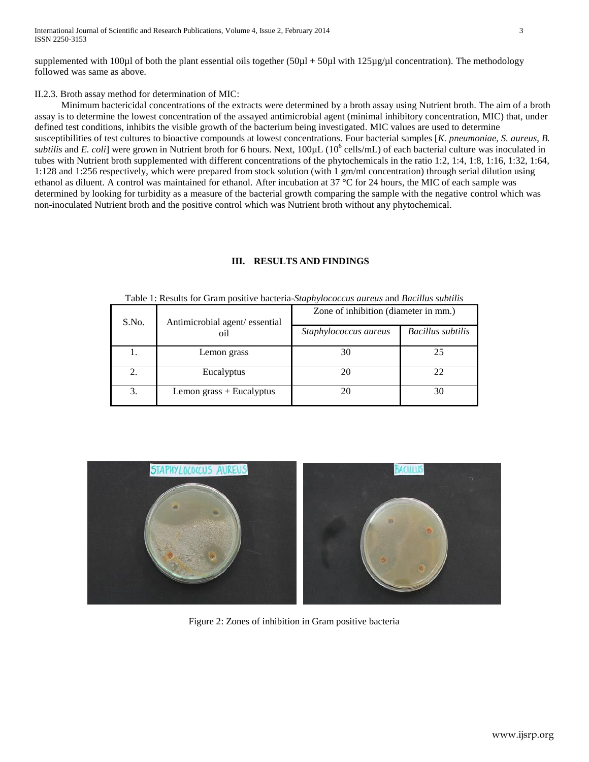supplemented with 100 $\mu$ l of both the plant essential oils together (50 $\mu$ l + 50 $\mu$ l with 125 $\mu$ g/ $\mu$ l concentration). The methodology followed was same as above.

## II.2.3. Broth assay method for determination of MIC:

 Minimum bactericidal concentrations of the extracts were determined by a broth assay using Nutrient broth. The aim of a broth assay is to determine the lowest concentration of the assayed antimicrobial agent (minimal inhibitory concentration, MIC) that, under defined test conditions, inhibits the visible growth of the bacterium being investigated. MIC values are used to determine susceptibilities of test cultures to bioactive compounds at lowest concentrations. Four bacterial samples [*K. pneumoniae*, *S. aureus*, *B. subtilis* and *E. coli*] were grown in Nutrient broth for 6 hours. Next,  $100 \mu$ L ( $10^6$  cells/mL) of each bacterial culture was inoculated in tubes with Nutrient broth supplemented with different concentrations of the phytochemicals in the ratio 1:2, 1:4, 1:8, 1:16, 1:32, 1:64, 1:128 and 1:256 respectively, which were prepared from stock solution (with 1 gm/ml concentration) through serial dilution using ethanol as diluent. A control was maintained for ethanol. After incubation at  $37^{\circ}$ C for 24 hours, the MIC of each sample was determined by looking for turbidity as a measure of the bacterial growth comparing the sample with the negative control which was non-inoculated Nutrient broth and the positive control which was Nutrient broth without any phytochemical.

## **III. RESULTS AND FINDINGS**

| Table 1. Results for Gram positive bacteria <i>shiph flococcus uni</i> cus and <i>Duchtus subtiti</i> s |                                      |                                      |                          |  |  |
|---------------------------------------------------------------------------------------------------------|--------------------------------------|--------------------------------------|--------------------------|--|--|
| S.No.                                                                                                   | Antimicrobial agent/essential<br>oil | Zone of inhibition (diameter in mm.) |                          |  |  |
|                                                                                                         |                                      | Staphylococcus aureus                | <b>Bacillus subtilis</b> |  |  |
|                                                                                                         | Lemon grass                          | 30                                   | 25                       |  |  |
|                                                                                                         | Eucalyptus                           | 20                                   | 22                       |  |  |
| 3.                                                                                                      | Lemon grass + Eucalyptus             | 20                                   | 30                       |  |  |

#### Table 1: Results for Gram positive bacteria-*Staphylococcus aureus* and *Bacillus subtilis*



Figure 2: Zones of inhibition in Gram positive bacteria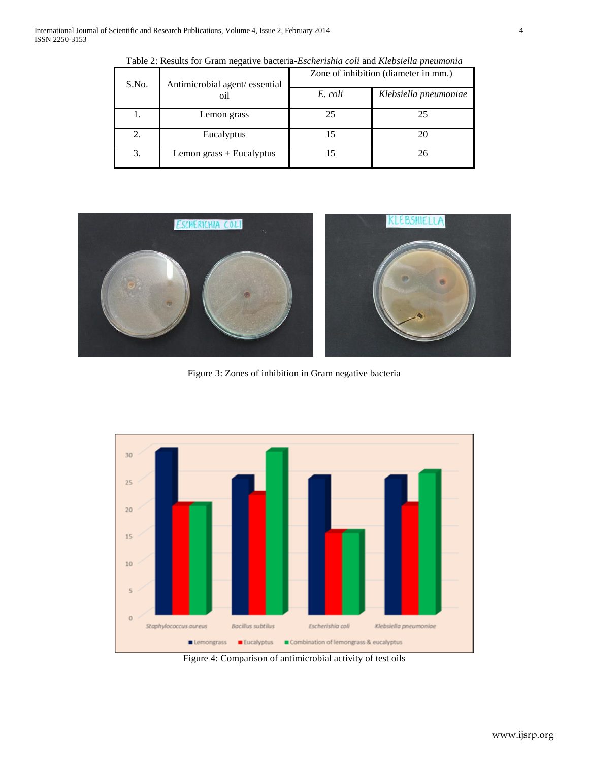| S.No. | Antimicrobial agent/essential<br>oil | Zone of inhibition (diameter in mm.) |                       |  |
|-------|--------------------------------------|--------------------------------------|-----------------------|--|
|       |                                      | E. coli                              | Klebsiella pneumoniae |  |
|       | Lemon grass                          | 25                                   | 25                    |  |
|       | Eucalyptus                           |                                      | 20                    |  |
| 3.    | Lemon grass + Eucalyptus             |                                      | 26                    |  |

Table 2: Results for Gram negative bacteria-*Escherishia coli* and *Klebsiella pneumonia*



Figure 3: Zones of inhibition in Gram negative bacteria



Figure 4: Comparison of antimicrobial activity of test oils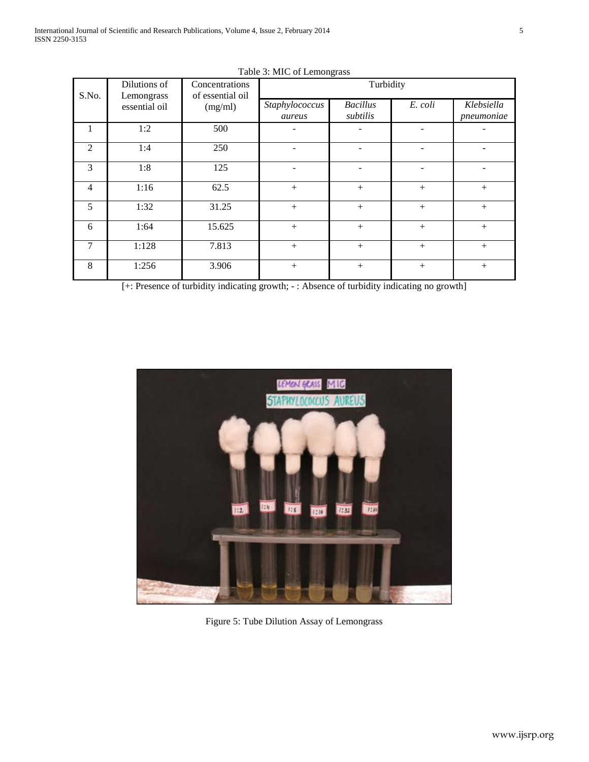| S.No.          | Dilutions of<br>Lemongrass<br>essential oil | Concentrations<br>of essential oil<br>(mg/ml) | ັ<br>Turbidity           |                             |         |                          |
|----------------|---------------------------------------------|-----------------------------------------------|--------------------------|-----------------------------|---------|--------------------------|
|                |                                             |                                               | Staphylococcus<br>aureus | <b>Bacillus</b><br>subtilis | E. coli | Klebsiella<br>pneumoniae |
| 1              | 1:2                                         | 500                                           |                          |                             |         |                          |
| 2              | 1:4                                         | 250                                           |                          |                             |         |                          |
| 3              | 1:8                                         | 125                                           |                          |                             |         |                          |
| $\overline{4}$ | 1:16                                        | 62.5                                          | $+$                      | $+$                         | $+$     | $+$                      |
| 5              | 1:32                                        | 31.25                                         | $+$                      | $+$                         | $+$     | $+$                      |
| 6              | 1:64                                        | 15.625                                        | $+$                      | $+$                         | $+$     |                          |
| 7              | 1:128                                       | 7.813                                         | $+$                      | $+$                         | $+$     | $+$                      |
| 8              | 1:256                                       | 3.906                                         | $+$                      | $^{+}$                      | $+$     | $^{+}$                   |

Table 3: MIC of Lemongrass

[+: Presence of turbidity indicating growth; - : Absence of turbidity indicating no growth]



Figure 5: Tube Dilution Assay of Lemongrass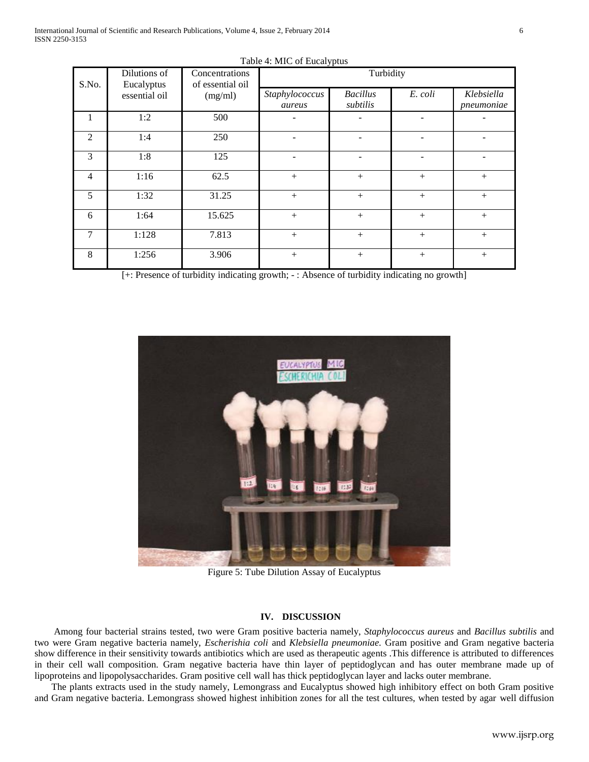| S.No.          | Dilutions of<br>Eucalyptus<br>essential oil | Concentrations<br>of essential oil<br>(mg/ml) | Turbidity                |                             |         |                          |
|----------------|---------------------------------------------|-----------------------------------------------|--------------------------|-----------------------------|---------|--------------------------|
|                |                                             |                                               | Staphylococcus<br>aureus | <b>Bacillus</b><br>subtilis | E. coli | Klebsiella<br>pneumoniae |
| 1              | 1:2                                         | 500                                           |                          |                             |         |                          |
| $\overline{2}$ | 1:4                                         | 250                                           |                          |                             |         |                          |
| 3              | 1:8                                         | 125                                           |                          |                             |         |                          |
| $\overline{4}$ | 1:16                                        | 62.5                                          | $+$                      | $+$                         | $+$     | $+$                      |
| 5              | 1:32                                        | 31.25                                         | $+$                      | $+$                         | $+$     | $+$                      |
| 6              | 1:64                                        | 15.625                                        | $+$                      | $+$                         | $+$     | $+$                      |
| 7              | 1:128                                       | 7.813                                         | $+$                      | $+$                         | $+$     | $+$                      |
| 8              | 1:256                                       | 3.906                                         |                          |                             | $+$     | $^{+}$                   |

Table 4: MIC of Eucalyptus

[+: Presence of turbidity indicating growth; - : Absence of turbidity indicating no growth]



Figure 5: Tube Dilution Assay of Eucalyptus

#### **IV. DISCUSSION**

 Among four bacterial strains tested, two were Gram positive bacteria namely, *Staphylococcus aureus* and *Bacillus subtilis* and two were Gram negative bacteria namely, *Escherishia coli* and *Klebsiella pneumoniae.* Gram positive and Gram negative bacteria show difference in their sensitivity towards antibiotics which are used as therapeutic agents .This difference is attributed to differences in their cell wall composition. Gram negative bacteria have thin layer of peptidoglycan and has outer membrane made up of lipoproteins and lipopolysaccharides. Gram positive cell wall has thick peptidoglycan layer and lacks outer membrane.

 The plants extracts used in the study namely, Lemongrass and Eucalyptus showed high inhibitory effect on both Gram positive and Gram negative bacteria. Lemongrass showed highest inhibition zones for all the test cultures, when tested by agar well diffusion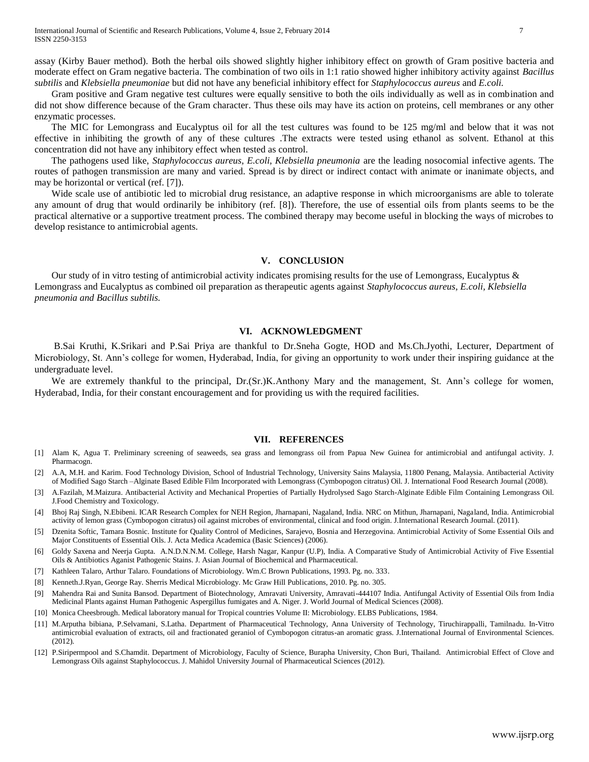assay (Kirby Bauer method). Both the herbal oils showed slightly higher inhibitory effect on growth of Gram positive bacteria and moderate effect on Gram negative bacteria. The combination of two oils in 1:1 ratio showed higher inhibitory activity against *Bacillus subtilis* and *Klebsiella pneumoniae* but did not have any beneficial inhibitory effect for *Staphylococcus aureus* and *E.coli.*

Gram positive and Gram negative test cultures were equally sensitive to both the oils individually as well as in combination and did not show difference because of the Gram character. Thus these oils may have its action on proteins, cell membranes or any other enzymatic processes.

 The MIC for Lemongrass and Eucalyptus oil for all the test cultures was found to be 125 mg/ml and below that it was not effective in inhibiting the growth of any of these cultures .The extracts were tested using ethanol as solvent. Ethanol at this concentration did not have any inhibitory effect when tested as control.

 The pathogens used like, *Staphylococcus aureus, E.coli, Klebsiella pneumonia* are the leading nosocomial infective agents. The routes of pathogen transmission are many and varied. Spread is by direct or indirect contact with animate or inanimate objects, and may be horizontal or vertical (ref. [7]).

 Wide scale use of antibiotic led to microbial drug resistance, an adaptive response in which microorganisms are able to tolerate any amount of drug that would ordinarily be inhibitory (ref. [8]). Therefore, the use of essential oils from plants seems to be the practical alternative or a supportive treatment process. The combined therapy may become useful in blocking the ways of microbes to develop resistance to antimicrobial agents.

#### **V. CONCLUSION**

Our study of in vitro testing of antimicrobial activity indicates promising results for the use of Lemongrass, Eucalyptus  $\&$ Lemongrass and Eucalyptus as combined oil preparation as therapeutic agents against *Staphylococcus aureus, E.coli, Klebsiella pneumonia and Bacillus subtilis.* 

#### **VI. ACKNOWLEDGMENT**

 B.Sai Kruthi, K.Srikari and P.Sai Priya are thankful to Dr.Sneha Gogte, HOD and Ms.Ch.Jyothi, Lecturer, Department of Microbiology, St. Ann's college for women, Hyderabad, India, for giving an opportunity to work under their inspiring guidance at the undergraduate level.

We are extremely thankful to the principal, Dr.(Sr.)K.Anthony Mary and the management, St. Ann's college for women, Hyderabad, India, for their constant encouragement and for providing us with the required facilities.

#### **VII. REFERENCES**

- [1] Alam K, Agua T. Preliminary screening of seaweeds, sea grass and lemongrass oil from Papua New Guinea for antimicrobial and antifungal activity. J. Pharmacogn.
- [2] A.A, M.H. and Karim. Food Technology Division, School of Industrial Technology, University Sains Malaysia, 11800 Penang, Malaysia. Antibacterial Activity of Modified Sago Starch –Alginate Based Edible Film Incorporated with Lemongrass (Cymbopogon citratus) Oil. J. International Food Research Journal (2008).
- [3] A.Fazilah, M.Maizura. Antibacterial Activity and Mechanical Properties of Partially Hydrolysed Sago Starch-Alginate Edible Film Containing Lemongrass Oil. J.Food Chemistry and Toxicology.
- [4] Bhoj Raj Singh, N.Ebibeni. ICAR Research Complex for NEH Region, Jharnapani, Nagaland, India. NRC on Mithun, Jharnapani, Nagaland, India. Antimicrobial activity of lemon grass (Cymbopogon citratus) oil against microbes of environmental, clinical and food origin. J.International Research Journal. (2011).
- [5] Dzenita Softic, Tamara Bosnic. Institute for Quality Control of Medicines, Sarajevo, Bosnia and Herzegovina. Antimicrobial Activity of Some Essential Oils and Major Constituents of Essential Oils. J. Acta Medica Academica (Basic Sciences) (2006).
- [6] Goldy Saxena and Neerja Gupta. A.N.D.N.N.M. College, Harsh Nagar, Kanpur (U.P), India. A Comparative Study of Antimicrobial Activity of Five Essential Oils & Antibiotics Aganist Pathogenic Stains. J. Asian Journal of Biochemical and Pharmaceutical.
- [7] Kathleen Talaro, Arthur Talaro. Foundations of Microbiology. Wm.C Brown Publications, 1993. Pg. no. 333.
- [8] Kenneth.J.Ryan, George Ray. Sherris Medical Microbiology. Mc Graw Hill Publications, 2010. Pg. no. 305.
- [9] Mahendra Rai and Sunita Bansod. Department of Biotechnology, Amravati University, Amravati-444107 India. Antifungal Activity of Essential Oils from India Medicinal Plants against Human Pathogenic Aspergillus fumigates and A. Niger. J. World Journal of Medical Sciences (2008).
- [10] Monica Cheesbrough. Medical laboratory manual for Tropical countries Volume II: Microbiology. ELBS Publications, 1984.
- [11] M.Arputha bibiana, P.Selvamani, S.Latha. Department of Pharmaceutical Technology, Anna University of Technology, Tiruchirappalli, Tamilnadu. In-Vitro antimicrobial evaluation of extracts, oil and fractionated geraniol of Cymbopogon citratus-an aromatic grass. J.International Journal of Environmental Sciences. (2012).
- [12] P.Siripermpool and S.Chamdit. Department of Microbiology, Faculty of Science, Burapha University, Chon Buri, Thailand. Antimicrobial Effect of Clove and Lemongrass Oils against Staphylococcus. J. Mahidol University Journal of Pharmaceutical Sciences (2012).